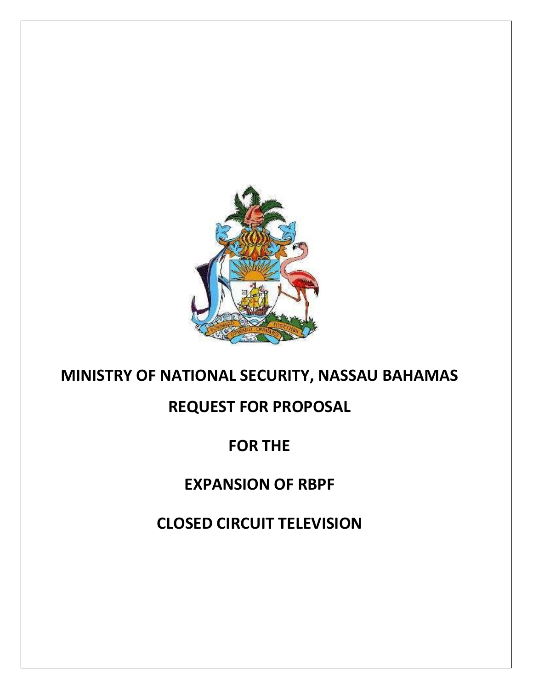

# **MINISTRY OF NATIONAL SECURITY, NASSAU BAHAMAS**

# **REQUEST FOR PROPOSAL**

# **FOR THE**

# **EXPANSION OF RBPF**

**CLOSED CIRCUIT TELEVISION**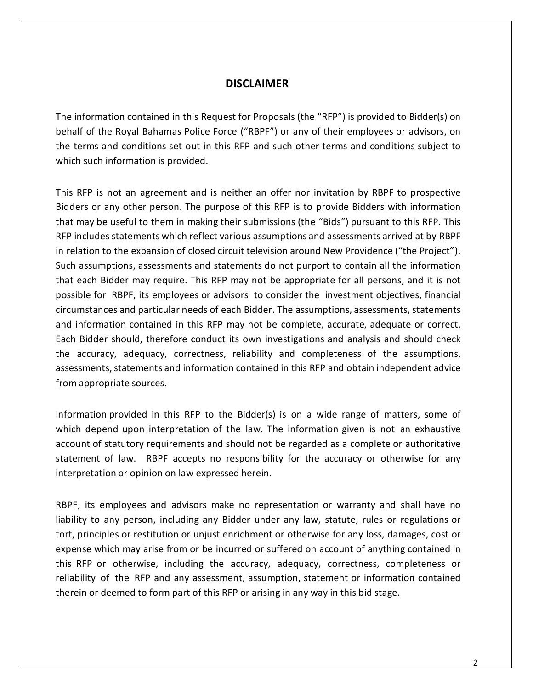#### **DISCLAIMER**

The information contained in this Request for Proposals (the "RFP") is provided to Bidder(s) on behalf of the Royal Bahamas Police Force ("RBPF") or any of their employees or advisors, on the terms and conditions set out in this RFP and such other terms and conditions subject to which such information is provided.

This RFP is not an agreement and is neither an offer nor invitation by RBPF to prospective Bidders or any other person. The purpose of this RFP is to provide Bidders with information that may be useful to them in making their submissions (the "Bids") pursuant to this RFP. This RFP includes statements which reflect various assumptions and assessments arrived at by RBPF in relation to the expansion of closed circuit television around New Providence ("the Project"). Such assumptions, assessments and statements do not purport to contain all the information that each Bidder may require. This RFP may not be appropriate for all persons, and it is not possible for RBPF, its employees or advisors to consider the investment objectives, financial circumstances and particular needs of each Bidder. The assumptions, assessments, statements and information contained in this RFP may not be complete, accurate, adequate or correct. Each Bidder should, therefore conduct its own investigations and analysis and should check the accuracy, adequacy, correctness, reliability and completeness of the assumptions, assessments, statements and information contained in this RFP and obtain independent advice from appropriate sources.

Information provided in this RFP to the Bidder(s) is on a wide range of matters, some of which depend upon interpretation of the law. The information given is not an exhaustive account of statutory requirements and should not be regarded as a complete or authoritative statement of law. RBPF accepts no responsibility for the accuracy or otherwise for any interpretation or opinion on law expressed herein.

RBPF, its employees and advisors make no representation or warranty and shall have no liability to any person, including any Bidder under any law, statute, rules or regulations or tort, principles or restitution or unjust enrichment or otherwise for any loss, damages, cost or expense which may arise from or be incurred or suffered on account of anything contained in this RFP or otherwise, including the accuracy, adequacy, correctness, completeness or reliability of the RFP and any assessment, assumption, statement or information contained therein or deemed to form part of this RFP or arising in any way in this bid stage.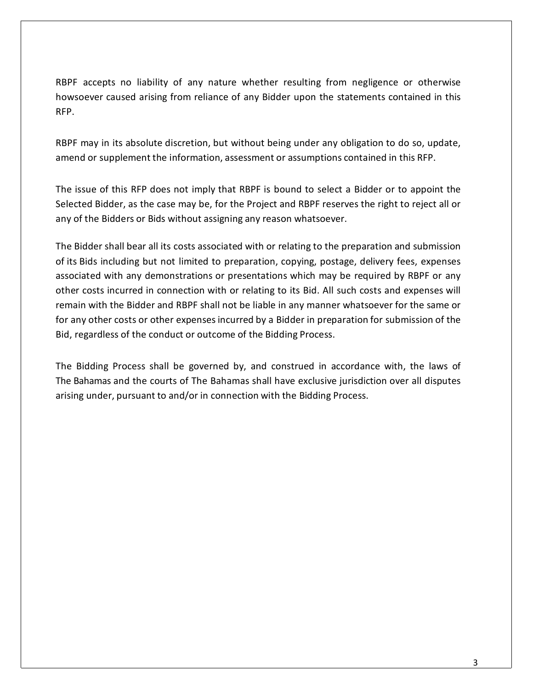RBPF accepts no liability of any nature whether resulting from negligence or otherwise howsoever caused arising from reliance of any Bidder upon the statements contained in this RFP.

RBPF may in its absolute discretion, but without being under any obligation to do so, update, amend or supplement the information, assessment or assumptions contained in this RFP.

The issue of this RFP does not imply that RBPF is bound to select a Bidder or to appoint the Selected Bidder, as the case may be, for the Project and RBPF reserves the right to reject all or any of the Bidders or Bids without assigning any reason whatsoever.

The Bidder shall bear all its costs associated with or relating to the preparation and submission of its Bids including but not limited to preparation, copying, postage, delivery fees, expenses associated with any demonstrations or presentations which may be required by RBPF or any other costs incurred in connection with or relating to its Bid. All such costs and expenses will remain with the Bidder and RBPF shall not be liable in any manner whatsoever for the same or for any other costs or other expenses incurred by a Bidder in preparation for submission of the Bid, regardless of the conduct or outcome of the Bidding Process.

The Bidding Process shall be governed by, and construed in accordance with, the laws of The Bahamas and the courts of The Bahamas shall have exclusive jurisdiction over all disputes arising under, pursuant to and/or in connection with the Bidding Process.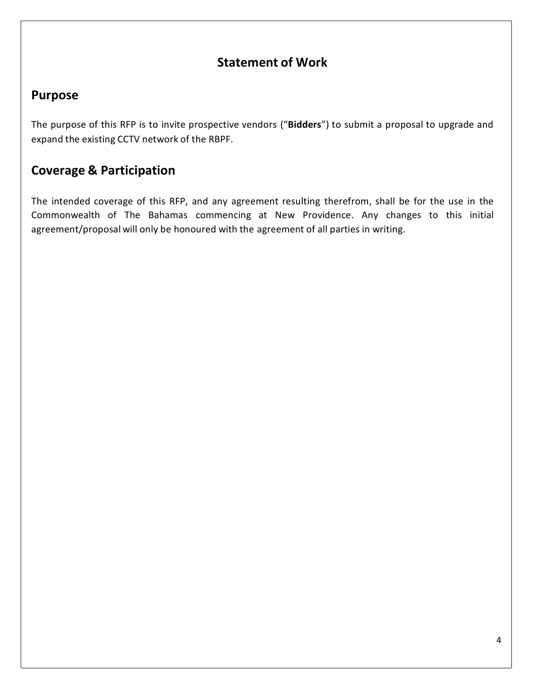### **Statement of Work**

### **Purpose**

The purpose of this RFP is to invite prospective vendors ("**Bidders**") to submit a proposal to upgrade and expand the existing CCTV network of the RBPF.

## **Coverage & Participation**

The intended coverage of this RFP, and any agreement resulting therefrom, shall be for the use in the Commonwealth of The Bahamas commencing at New Providence. Any changes to this initial agreement/proposal will only be honoured with the agreement of all parties in writing.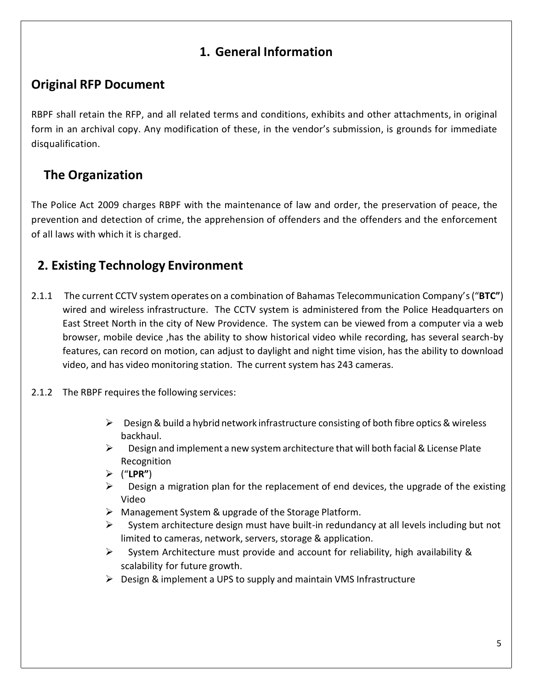# **1. General Information**

# **Original RFP Document**

RBPF shall retain the RFP, and all related terms and conditions, exhibits and other attachments, in original form in an archival copy. Any modification of these, in the vendor's submission, is grounds for immediate disqualification.

# **The Organization**

The Police Act 2009 charges RBPF with the maintenance of law and order, the preservation of peace, the prevention and detection of crime, the apprehension of offenders and the offenders and the enforcement of all laws with which it is charged.

# **2. Existing Technology Environment**

- 2.1.1 The current CCTV system operates on a combination of Bahamas Telecommunication Company's("**BTC"**) wired and wireless infrastructure. The CCTV system is administered from the Police Headquarters on East Street North in the city of New Providence. The system can be viewed from a computer via a web browser, mobile device ,has the ability to show historical video while recording, has several search-by features, can record on motion, can adjust to daylight and night time vision, has the ability to download video, and has video monitoring station. The current system has 243 cameras.
- 2.1.2 The RBPF requires the following services:
	- $\triangleright$  Design & build a hybrid network infrastructure consisting of both fibre optics & wireless backhaul.
	- $\triangleright$  Design and implement a new system architecture that will both facial & License Plate Recognition
	- ("**LPR"**)
	- $\triangleright$  Design a migration plan for the replacement of end devices, the upgrade of the existing Video
	- Management System & upgrade of the Storage Platform.
	- $\triangleright$  System architecture design must have built-in redundancy at all levels including but not limited to cameras, network, servers, storage & application.
	- $\triangleright$  System Architecture must provide and account for reliability, high availability & scalability for future growth.
	- $\triangleright$  Design & implement a UPS to supply and maintain VMS Infrastructure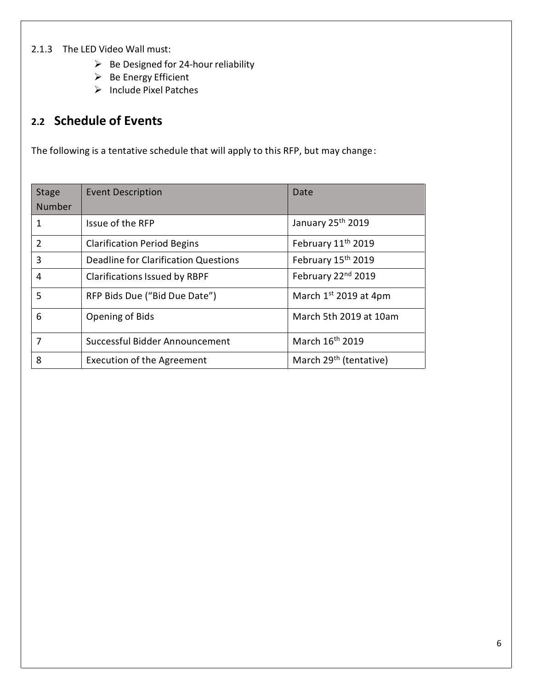#### 2.1.3 The LED Video Wall must:

- $\triangleright$  Be Designed for 24-hour reliability
- $\triangleright$  Be Energy Efficient
- $\triangleright$  Include Pixel Patches

## **2.2 Schedule of Events**

The following is a tentative schedule that will apply to this RFP, but may change:

| <b>Stage</b><br>Number | <b>Event Description</b>             | Date                               |  |
|------------------------|--------------------------------------|------------------------------------|--|
| 1                      | Issue of the RFP                     | January 25th 2019                  |  |
| $\mathcal{P}$          | <b>Clarification Period Begins</b>   | February 11 <sup>th</sup> 2019     |  |
| 3                      | Deadline for Clarification Questions | February 15th 2019                 |  |
| 4                      | <b>Clarifications Issued by RBPF</b> | February 22nd 2019                 |  |
| 5                      | RFP Bids Due ("Bid Due Date")        | March $1st$ 2019 at 4pm            |  |
| 6                      | Opening of Bids                      | March 5th 2019 at 10am             |  |
| 7                      | Successful Bidder Announcement       | March 16th 2019                    |  |
| 8                      | <b>Execution of the Agreement</b>    | March 29 <sup>th</sup> (tentative) |  |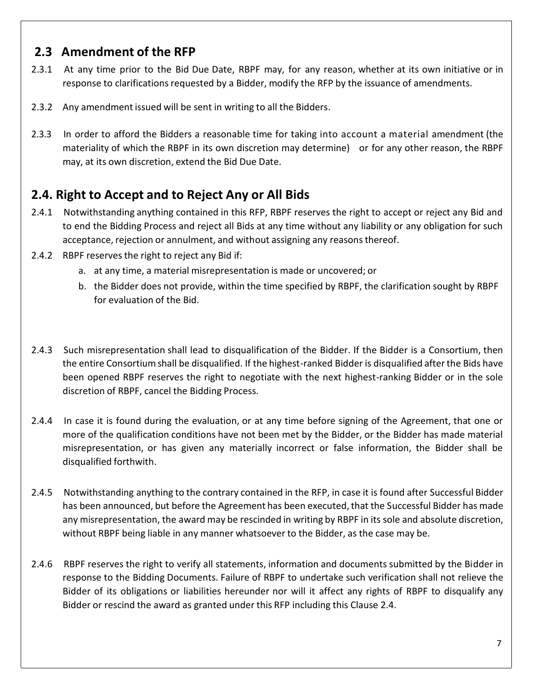### **2.3 Amendment of the RFP**

- 2.3.1 At any time prior to the Bid Due Date, RBPF may, for any reason, whether at its own initiative or in response to clarifications requested by a Bidder, modify the RFP by the issuance of amendments.
- 2.3.2 Any amendment issued will be sent in writing to all the Bidders.
- 2.3.3 In order to afford the Bidders a reasonable time for taking into account a material amendment (the materiality of which the RBPF in its own discretion may determine) or for any other reason, the RBPF may, at its own discretion, extend the Bid Due Date.

# **2.4. Right to Accept and to Reject Any or All Bids**

- 2.4.1 Notwithstanding anything contained in this RFP, RBPF reserves the right to accept or reject any Bid and to end the Bidding Process and reject all Bids at any time without any liability or any obligation for such acceptance, rejection or annulment, and without assigning any reasonsthereof.
- 2.4.2 RBPF reserves the right to reject any Bid if:
	- a. at any time, a material misrepresentation is made or uncovered; or
	- b. the Bidder does not provide, within the time specified by RBPF, the clarification sought by RBPF for evaluation of the Bid.
- 2.4.3 Such misrepresentation shall lead to disqualification of the Bidder. If the Bidder is a Consortium, then the entire Consortium shall be disqualified. If the highest-ranked Bidder is disqualified afterthe Bids have been opened RBPF reserves the right to negotiate with the next highest-ranking Bidder or in the sole discretion of RBPF, cancel the Bidding Process.
- 2.4.4 In case it is found during the evaluation, or at any time before signing of the Agreement, that one or more of the qualification conditions have not been met by the Bidder, or the Bidder has made material misrepresentation, or has given any materially incorrect or false information, the Bidder shall be disqualified forthwith.
- 2.4.5 Notwithstanding anything to the contrary contained in the RFP, in case it is found after Successful Bidder has been announced, but before the Agreement has been executed, that the Successful Bidder has made any misrepresentation, the award may be rescinded in writing by RBPF in its sole and absolute discretion, without RBPF being liable in any manner whatsoever to the Bidder, as the case may be.
- 2.4.6 RBPF reserves the right to verify all statements, information and documents submitted by the Bidder in response to the Bidding Documents. Failure of RBPF to undertake such verification shall not relieve the Bidder of its obligations or liabilities hereunder nor will it affect any rights of RBPF to disqualify any Bidder or rescind the award as granted under this RFP including this Clause 2.4.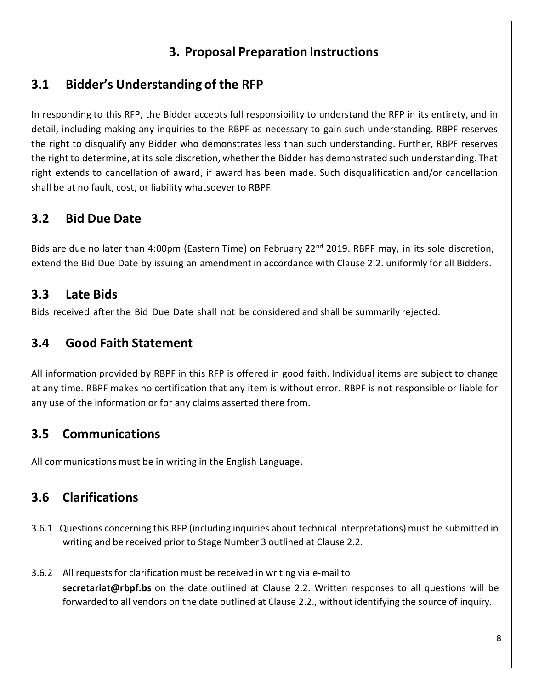# **3. Proposal Preparation Instructions**

# **3.1 Bidder's Understanding of the RFP**

In responding to this RFP, the Bidder accepts full responsibility to understand the RFP in its entirety, and in detail, including making any inquiries to the RBPF as necessary to gain such understanding. RBPF reserves the right to disqualify any Bidder who demonstrates less than such understanding. Further, RBPF reserves the right to determine, at its sole discretion, whether the Bidder has demonstrated such understanding. That right extends to cancellation of award, if award has been made. Such disqualification and/or cancellation shall be at no fault, cost, or liability whatsoever to RBPF.

# **3.2 Bid Due Date**

Bids are due no later than 4:00pm (Eastern Time) on February 22<sup>nd</sup> 2019. RBPF may, in its sole discretion, extend the Bid Due Date by issuing an amendment in accordance with Clause 2.2. uniformly for all Bidders.

## **3.3 Late Bids**

Bids received after the Bid Due Date shall not be considered and shall be summarily rejected.

# **3.4 Good Faith Statement**

All information provided by RBPF in this RFP is offered in good faith. Individual items are subject to change at any time. RBPF makes no certification that any item is without error. RBPF is not responsible or liable for any use of the information or for any claims asserted there from.

# **3.5 Communications**

All communications must be in writing in the English Language.

# **3.6 Clarifications**

- 3.6.1 Questions concerning this RFP (including inquiries about technical interpretations) must be submitted in writing and be received prior to Stage Number 3 outlined at Clause 2.2.
- 3.6.2 All requests for clarification must be received in writing via e-mail to **[secretariat@rbpf.bs](mailto:secretariat@rbpf.bs)** on the date outlined at Clause 2.2. Written responses to all questions will be forwarded to all vendors on the date outlined at Clause 2.2., without identifying the source of inquiry.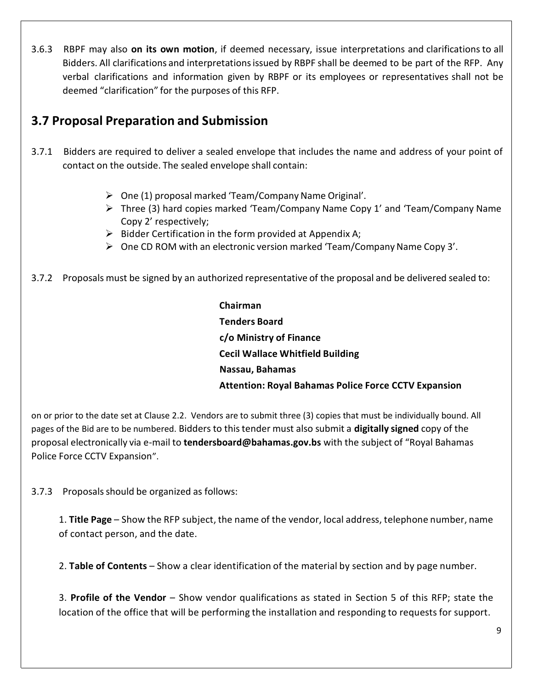3.6.3 RBPF may also **on its own motion**, if deemed necessary, issue interpretations and clarificationsto all Bidders. All clarifications and interpretationsissued by RBPF shall be deemed to be part of the RFP. Any verbal clarifications and information given by RBPF or its employees or representatives shall not be deemed "clarification" for the purposes of this RFP.

### **3.7 Proposal Preparation and Submission**

- 3.7.1 Bidders are required to deliver a sealed envelope that includes the name and address of your point of contact on the outside. The sealed envelope shall contain:
	- $\triangleright$  One (1) proposal marked 'Team/Company Name Original'.
	- $\triangleright$  Three (3) hard copies marked 'Team/Company Name Copy 1' and 'Team/Company Name Copy 2' respectively;
	- $\triangleright$  Bidder Certification in the form provided at Appendix A;
	- $\triangleright$  One CD ROM with an electronic version marked 'Team/Company Name Copy 3'.
- 3.7.2 Proposals must be signed by an authorized representative of the proposal and be delivered sealed to:

**Chairman Tenders Board c/o Ministry of Finance Cecil Wallace Whitfield Building Nassau, Bahamas Attention: Royal Bahamas Police Force CCTV Expansion**

on or prior to the date set at Clause 2.2. Vendors are to submit three (3) copies that must be individually bound. All pages of the Bid are to be numbered. Bidders to thistender must also submit a **digitally signed** copy of the proposal electronically via e-mail to **[tendersboard@bahamas.gov.bs](mailto:tendersboard@bahamas.gov.bs)** with the subject of "Royal Bahamas Police Force CCTV Expansion".

3.7.3 Proposals should be organized as follows:

1. **Title Page** – Show the RFP subject, the name of the vendor, local address, telephone number, name of contact person, and the date.

2. **Table of Contents** – Show a clear identification of the material by section and by page number.

3. **Profile of the Vendor** – Show vendor qualifications as stated in Section 5 of this RFP; state the location of the office that will be performing the installation and responding to requests for support.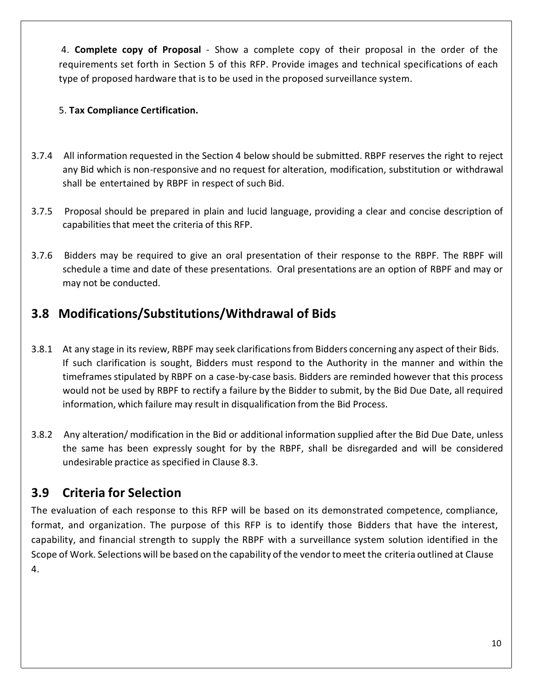4. **Complete copy of Proposal** - Show a complete copy of their proposal in the order of the requirements set forth in Section 5 of this RFP. Provide images and technical specifications of each type of proposed hardware that is to be used in the proposed surveillance system.

#### 5. **Tax Compliance Certification.**

- 3.7.4 All information requested in the Section 4 below should be submitted. RBPF reserves the right to reject any Bid which is non-responsive and no request for alteration, modification, substitution or withdrawal shall be entertained by RBPF in respect of such Bid.
- 3.7.5 Proposal should be prepared in plain and lucid language, providing a clear and concise description of capabilities that meet the criteria of this RFP.
- 3.7.6 Bidders may be required to give an oral presentation of their response to the RBPF. The RBPF will schedule a time and date of these presentations. Oral presentations are an option of RBPF and may or may not be conducted.

## **3.8 Modifications/Substitutions/Withdrawal of Bids**

- 3.8.1 At any stage in its review, RBPF may seek clarifications from Bidders concerning any aspect of their Bids. If such clarification is sought, Bidders must respond to the Authority in the manner and within the timeframes stipulated by RBPF on a case-by-case basis. Bidders are reminded however that this process would not be used by RBPF to rectify a failure by the Bidder to submit, by the Bid Due Date, all required information, which failure may result in disqualification from the Bid Process.
- 3.8.2 Any alteration/ modification in the Bid or additional information supplied after the Bid Due Date, unless the same has been expressly sought for by the RBPF, shall be disregarded and will be considered undesirable practice as specified in Clause 8.3.

## **3.9 Criteria for Selection**

The evaluation of each response to this RFP will be based on its demonstrated competence, compliance, format, and organization. The purpose of this RFP is to identify those Bidders that have the interest, capability, and financial strength to supply the RBPF with a surveillance system solution identified in the Scope of Work. Selections will be based on the capability of the vendorto meet the criteria outlined at Clause 4.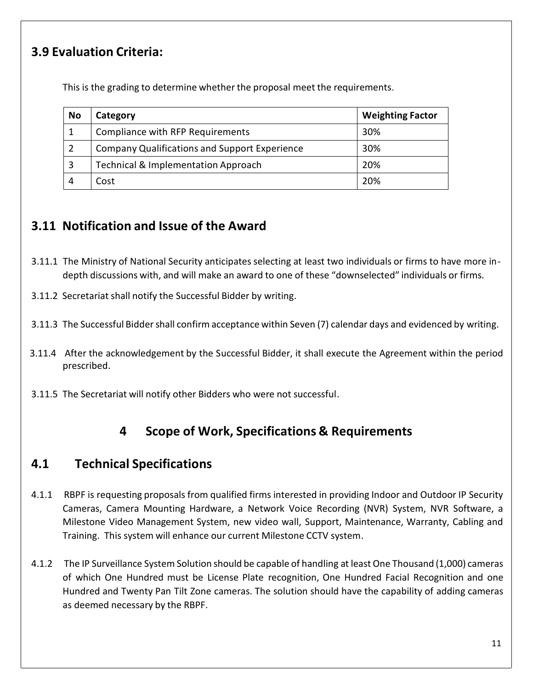## **3.9 Evaluation Criteria:**

This is the grading to determine whether the proposal meet the requirements.

| No | Category                                             | <b>Weighting Factor</b> |
|----|------------------------------------------------------|-------------------------|
|    | Compliance with RFP Requirements                     | 30%                     |
|    | <b>Company Qualifications and Support Experience</b> | 30%                     |
| 3  | <b>Technical &amp; Implementation Approach</b>       | 20%                     |
|    | Cost                                                 | 20%                     |

### **3.11 Notification and Issue of the Award**

- 3.11.1 The Ministry of National Security anticipates selecting at least two individuals or firms to have more indepth discussions with, and will make an award to one of these "downselected" individuals or firms.
- 3.11.2 Secretariat shall notify the Successful Bidder by writing.
- 3.11.3 The Successful Biddershall confirm acceptance within Seven (7) calendar days and evidenced by writing.
- 3.11.4 After the acknowledgement by the Successful Bidder, it shall execute the Agreement within the period prescribed.
- 3.11.5 The Secretariat will notify other Bidders who were not successful.

### **4 Scope of Work, Specifications & Requirements**

### **4.1 Technical Specifications**

- 4.1.1 RBPF is requesting proposals from qualified firms interested in providing Indoor and Outdoor IP Security Cameras, Camera Mounting Hardware, a Network Voice Recording (NVR) System, NVR Software, a Milestone Video Management System, new video wall, Support, Maintenance, Warranty, Cabling and Training. This system will enhance our current Milestone CCTV system.
- 4.1.2 The IP Surveillance System Solution should be capable of handling at least One Thousand (1,000) cameras of which One Hundred must be License Plate recognition, One Hundred Facial Recognition and one Hundred and Twenty Pan Tilt Zone cameras. The solution should have the capability of adding cameras as deemed necessary by the RBPF.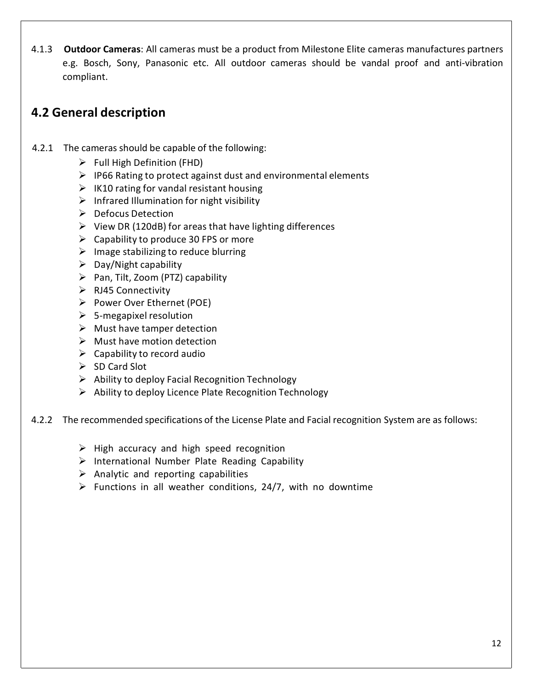4.1.3 **Outdoor Cameras**: All cameras must be a product from Milestone Elite cameras manufactures partners e.g. Bosch, Sony, Panasonic etc. All outdoor cameras should be vandal proof and anti-vibration compliant.

### **4.2 General description**

- 4.2.1 The cameras should be capable of the following:
	- $\triangleright$  Full High Definition (FHD)
	- $\triangleright$  IP66 Rating to protect against dust and environmental elements
	- $\triangleright$  IK10 rating for vandal resistant housing
	- $\triangleright$  Infrared Illumination for night visibility
	- $\triangleright$  Defocus Detection
	- $\triangleright$  View DR (120dB) for areas that have lighting differences
	- $\triangleright$  Capability to produce 30 FPS or more
	- $\triangleright$  Image stabilizing to reduce blurring
	- $\triangleright$  Day/Night capability
	- $\triangleright$  Pan, Tilt, Zoom (PTZ) capability
	- $\triangleright$  RJ45 Connectivity
	- Power Over Ethernet (POE)
	- $\triangleright$  5-megapixel resolution
	- $\triangleright$  Must have tamper detection
	- $\triangleright$  Must have motion detection
	- $\triangleright$  Capability to record audio
	- $\triangleright$  SD Card Slot
	- $\triangleright$  Ability to deploy Facial Recognition Technology
	- $\triangleright$  Ability to deploy Licence Plate Recognition Technology

4.2.2 The recommended specifications of the License Plate and Facial recognition System are as follows:

- $\triangleright$  High accuracy and high speed recognition
- $\triangleright$  International Number Plate Reading Capability
- $\triangleright$  Analytic and reporting capabilities
- $\triangleright$  Functions in all weather conditions, 24/7, with no downtime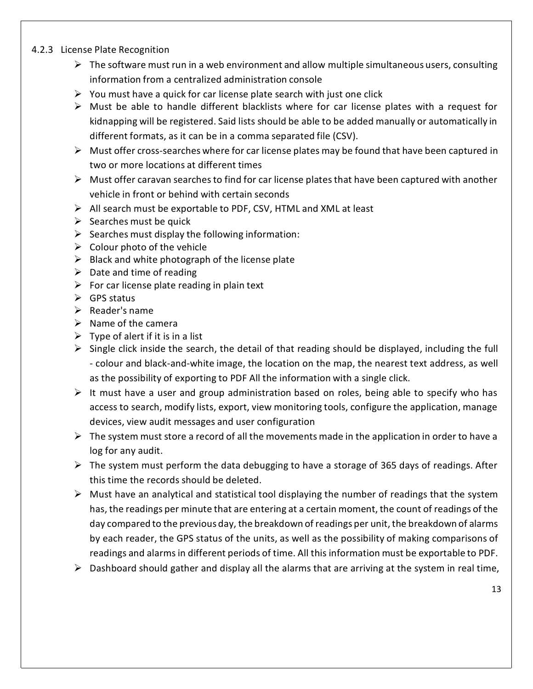#### 4.2.3 License Plate Recognition

- $\triangleright$  The software must run in a web environment and allow multiple simultaneous users, consulting information from a centralized administration console
- $\triangleright$  You must have a quick for car license plate search with just one click
- $\triangleright$  Must be able to handle different blacklists where for car license plates with a request for kidnapping will be registered. Said lists should be able to be added manually or automatically in different formats, as it can be in a comma separated file (CSV).
- $\triangleright$  Must offer cross-searches where for car license plates may be found that have been captured in two or more locations at different times
- $\triangleright$  Must offer caravan searches to find for car license plates that have been captured with another vehicle in front or behind with certain seconds
- $\triangleright$  All search must be exportable to PDF, CSV, HTML and XML at least
- $\triangleright$  Searches must be quick
- $\triangleright$  Searches must display the following information:
- $\triangleright$  Colour photo of the vehicle
- $\triangleright$  Black and white photograph of the license plate
- $\triangleright$  Date and time of reading
- $\triangleright$  For car license plate reading in plain text
- $\triangleright$  GPS status
- $\triangleright$  Reader's name
- $\triangleright$  Name of the camera
- $\triangleright$  Type of alert if it is in a list
- $\triangleright$  Single click inside the search, the detail of that reading should be displayed, including the full - colour and black-and-white image, the location on the map, the nearest text address, as well as the possibility of exporting to PDF All the information with a single click.
- $\triangleright$  It must have a user and group administration based on roles, being able to specify who has access to search, modify lists, export, view monitoring tools, configure the application, manage devices, view audit messages and user configuration
- $\triangleright$  The system must store a record of all the movements made in the application in order to have a log for any audit.
- $\triangleright$  The system must perform the data debugging to have a storage of 365 days of readings. After this time the records should be deleted.
- $\triangleright$  Must have an analytical and statistical tool displaying the number of readings that the system has, the readings per minute that are entering at a certain moment, the count of readings of the day compared to the previous day, the breakdown of readings per unit, the breakdown of alarms by each reader, the GPS status of the units, as well as the possibility of making comparisons of readings and alarmsin different periods of time. All this information must be exportable to PDF.
- $\triangleright$  Dashboard should gather and display all the alarms that are arriving at the system in real time,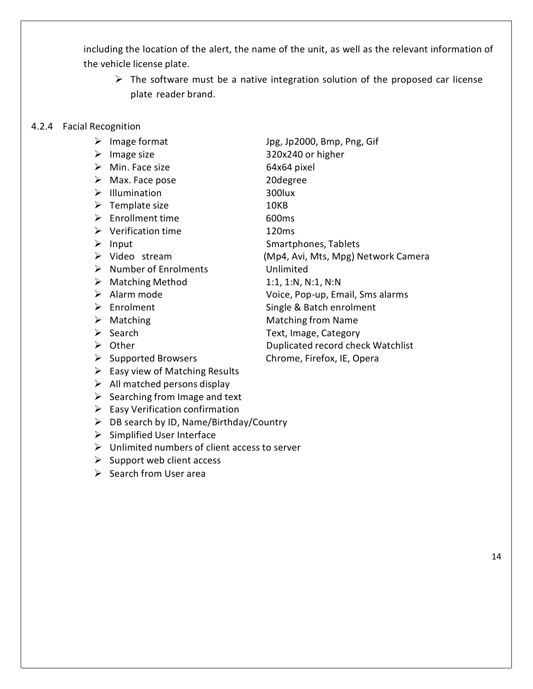including the location of the alert, the name of the unit, as well as the relevant information of the vehicle license plate.

- $\triangleright$  The software must be a native integration solution of the proposed car license plate reader brand.
- 4.2.4 Facial Recognition
	-
	-
	- $\triangleright$  Min. Face size 64x64 pixel
	- ▶ Max. Face pose 20degree
	- > Illumination 300lux
	- > Template size 10KB
	- ▶ Enrollment time 600ms
	- Verification time 120ms
	-
	-
	- Number of Enrolments Unlimited
	- $\triangleright$  Matching Method 1:1, 1:N, N:1, N:N
	-
	-
	-
	-
	-
	-
	- $\triangleright$  Easy view of Matching Results
	- $\triangleright$  All matched persons display
	- $\triangleright$  Searching from Image and text
	- $\triangleright$  Easy Verification confirmation
	- $\triangleright$  DB search by ID, Name/Birthday/Country
	- $\triangleright$  Simplified User Interface
	- $\triangleright$  Unlimited numbers of client access to server
	- $\triangleright$  Support web client access
	- $\triangleright$  Search from User area

 Image format Jpg, Jp2000, Bmp, Png, Gif Image size 320x240 or higher ▶ Input Smartphones, Tablets Video stream (Mp4, Avi, Mts, Mpg) Network Camera Alarm mode Voice, Pop-up, Email, Sms alarms ▶ Enrolment Single & Batch enrolment ▶ Matching Matching from Name ▶ Search Text, Image, Category ▶ Other Duplicated record check Watchlist ▶ Supported Browsers Chrome, Firefox, IE, Opera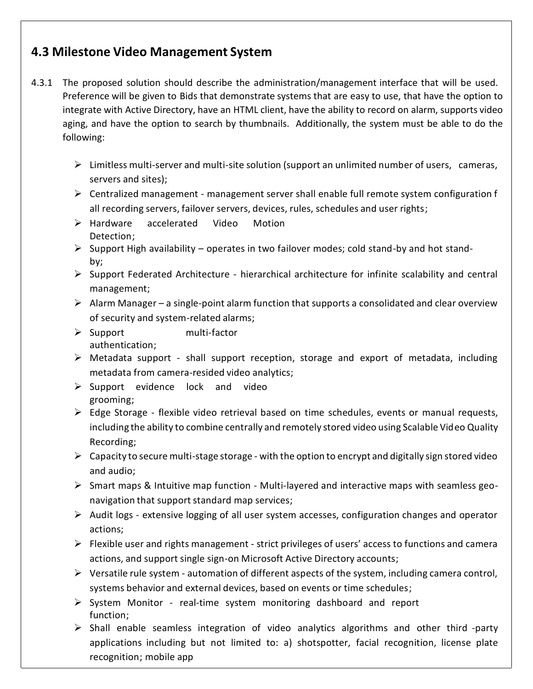### **4.3 Milestone Video Management System**

- 4.3.1 The proposed solution should describe the administration/management interface that will be used. Preference will be given to Bids that demonstrate systems that are easy to use, that have the option to integrate with Active Directory, have an HTML client, have the ability to record on alarm, supports video aging, and have the option to search by thumbnails. Additionally, the system must be able to do the following:
	- $\triangleright$  Limitless multi-server and multi-site solution (support an unlimited number of users, cameras, servers and sites);
	- $\triangleright$  Centralized management management server shall enable full remote system configuration f all recording servers, failover servers, devices, rules, schedules and user rights;
	- Hardware accelerated Video Motion Detection;
	- $\triangleright$  Support High availability operates in two failover modes; cold stand-by and hot standby;
	- $\triangleright$  Support Federated Architecture hierarchical architecture for infinite scalability and central management;
	- $\triangleright$  Alarm Manager a single-point alarm function that supports a consolidated and clear overview of security and system-related alarms;
	- > Support multi-factor authentication;
	- $\triangleright$  Metadata support shall support reception, storage and export of metadata, including metadata from camera-resided video analytics;
	- $\triangleright$  Support evidence lock and video grooming;
	- $\triangleright$  Edge Storage flexible video retrieval based on time schedules, events or manual requests, including the ability to combine centrally and remotely stored video using Scalable Video Quality Recording;
	- $\triangleright$  Capacity to secure multi-stage storage with the option to encrypt and digitally sign stored video and audio;
	- $\triangleright$  Smart maps & Intuitive map function Multi-layered and interactive maps with seamless geonavigation that support standard map services;
	- $\triangleright$  Audit logs extensive logging of all user system accesses, configuration changes and operator actions;
	- $\triangleright$  Flexible user and rights management strict privileges of users' access to functions and camera actions, and support single sign-on Microsoft Active Directory accounts;
	- $\triangleright$  Versatile rule system automation of different aspects of the system, including camera control, systems behavior and external devices, based on events or time schedules;
	- $\triangleright$  System Monitor real-time system monitoring dashboard and report function;
	- $\triangleright$  Shall enable seamless integration of video analytics algorithms and other third -party applications including but not limited to: a) shotspotter, facial recognition, license plate recognition; mobile app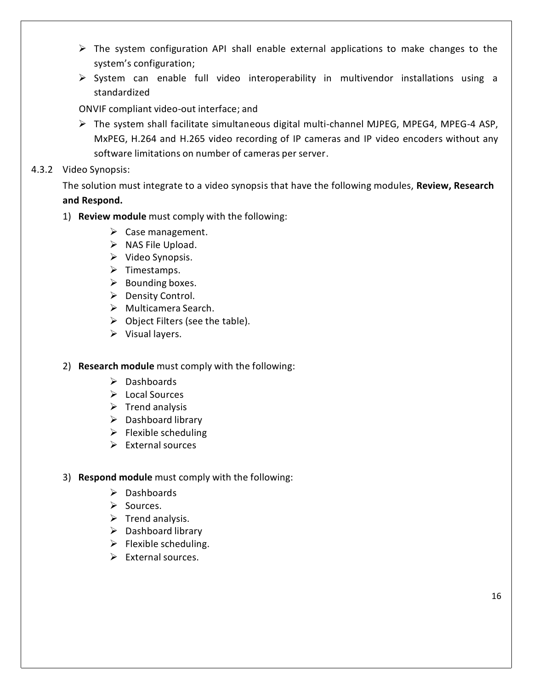- $\triangleright$  The system configuration API shall enable external applications to make changes to the system's configuration;
- $\triangleright$  System can enable full video interoperability in multivendor installations using a standardized

ONVIF compliant video-out interface; and

 $\triangleright$  The system shall facilitate simultaneous digital multi-channel MJPEG, MPEG4, MPEG-4 ASP, MxPEG, H.264 and H.265 video recording of IP cameras and IP video encoders without any software limitations on number of cameras per server.

#### 4.3.2 Video Synopsis:

The solution must integrate to a video synopsis that have the following modules, **Review, Research and Respond.**

- 1) **Review module** must comply with the following:
	- $\triangleright$  Case management.
	- $\triangleright$  NAS File Upload.
	- $\triangleright$  Video Synopsis.
	- $\triangleright$  Timestamps.
	- $\triangleright$  Bounding boxes.
	- ▶ Density Control.
	- $\triangleright$  Multicamera Search.
	- $\triangleright$  Object Filters (see the table).
	- $\triangleright$  Visual layers.
- 2) **Research module** must comply with the following:
	- $\triangleright$  Dashboards
	- Local Sources
	- $\triangleright$  Trend analysis
	- $\triangleright$  Dashboard library
	- $\triangleright$  Flexible scheduling
	- $\triangleright$  External sources

#### 3) **Respond module** must comply with the following:

- $\triangleright$  Dashboards
- $\triangleright$  Sources.
- $\triangleright$  Trend analysis.
- $\triangleright$  Dashboard library
- $\triangleright$  Flexible scheduling.
- $\triangleright$  External sources.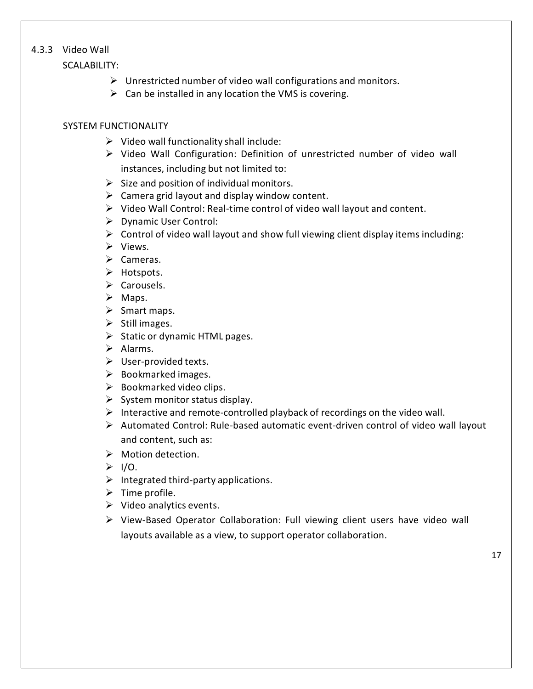#### 4.3.3 Video Wall

SCALABILITY:

- $\triangleright$  Unrestricted number of video wall configurations and monitors.
- $\triangleright$  Can be installed in any location the VMS is covering.

#### SYSTEM FUNCTIONALITY

- $\triangleright$  Video wall functionality shall include:
- $\triangleright$  Video Wall Configuration: Definition of unrestricted number of video wall instances, including but not limited to:
- $\triangleright$  Size and position of individual monitors.
- $\triangleright$  Camera grid layout and display window content.
- $\triangleright$  Video Wall Control: Real-time control of video wall layout and content.
- Dynamic User Control:
- $\triangleright$  Control of video wall layout and show full viewing client display items including:
- $\triangleright$  Views.
- $\triangleright$  Cameras.
- > Hotspots.
- $\triangleright$  Carousels.
- $\triangleright$  Maps.
- $\triangleright$  Smart maps.
- $\triangleright$  Still images.
- $\triangleright$  Static or dynamic HTML pages.
- $\triangleright$  Alarms.
- $\triangleright$  User-provided texts.
- $\triangleright$  Bookmarked images.
- $\triangleright$  Bookmarked video clips.
- $\triangleright$  System monitor status display.
- $\triangleright$  Interactive and remote-controlled playback of recordings on the video wall.
- $\triangleright$  Automated Control: Rule-based automatic event-driven control of video wall layout and content, such as:
- $\triangleright$  Motion detection.
- $> 1/0$ .
- $\triangleright$  Integrated third-party applications.
- $\triangleright$  Time profile.
- $\triangleright$  Video analytics events.
- View-Based Operator Collaboration: Full viewing client users have video wall layouts available as a view, to support operator collaboration.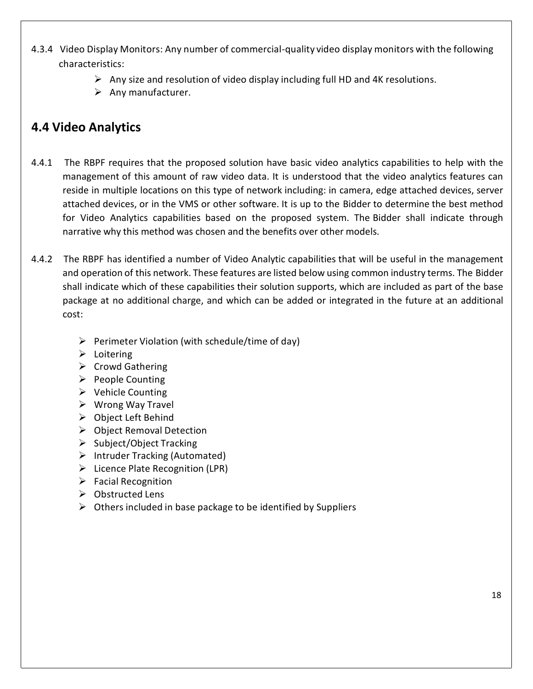- 4.3.4 Video Display Monitors: Any number of commercial-quality video display monitors with the following characteristics:
	- $\triangleright$  Any size and resolution of video display including full HD and 4K resolutions.
	- $\triangleright$  Any manufacturer.

# **4.4 Video Analytics**

- 4.4.1 The RBPF requires that the proposed solution have basic video analytics capabilities to help with the management of this amount of raw video data. It is understood that the video analytics features can reside in multiple locations on this type of network including: in camera, edge attached devices, server attached devices, or in the VMS or other software. It is up to the Bidder to determine the best method for Video Analytics capabilities based on the proposed system. The Bidder shall indicate through narrative why this method was chosen and the benefits over other models.
- 4.4.2 The RBPF has identified a number of Video Analytic capabilities that will be useful in the management and operation of this network. These features are listed below using common industry terms. The Bidder shall indicate which of these capabilities their solution supports, which are included as part of the base package at no additional charge, and which can be added or integrated in the future at an additional cost:
	- $\triangleright$  Perimeter Violation (with schedule/time of day)
	- $\triangleright$  Loitering
	- $\triangleright$  Crowd Gathering
	- $\triangleright$  People Counting
	- $\triangleright$  Vehicle Counting
	- $\triangleright$  Wrong Way Travel
	- Object Left Behind
	- $\triangleright$  Object Removal Detection
	- $\triangleright$  Subject/Object Tracking
	- $\triangleright$  Intruder Tracking (Automated)
	- $\triangleright$  Licence Plate Recognition (LPR)
	- $\triangleright$  Facial Recognition
	- $\triangleright$  Obstructed Lens
	- $\triangleright$  Others included in base package to be identified by Suppliers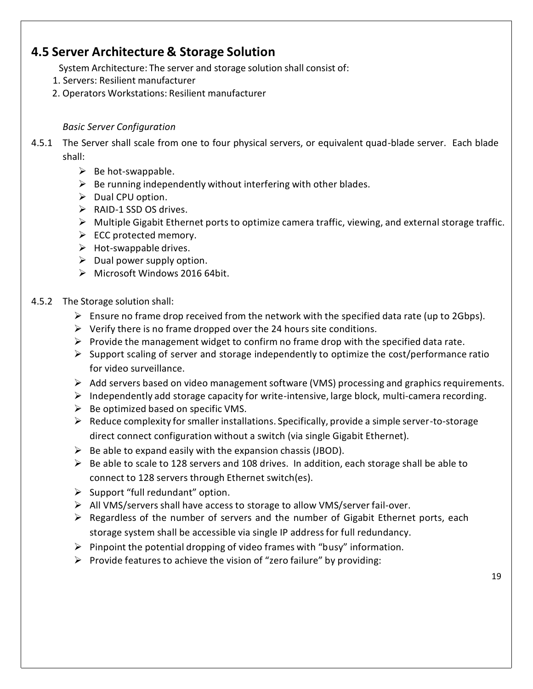### **4.5 Server Architecture & Storage Solution**

System Architecture: The server and storage solution shall consist of:

- 1. Servers: Resilient manufacturer
- 2. Operators Workstations: Resilient manufacturer

#### *Basic Server Configuration*

- 4.5.1 The Server shall scale from one to four physical servers, or equivalent quad-blade server. Each blade shall:
	- $\triangleright$  Be hot-swappable.
	- $\triangleright$  Be running independently without interfering with other blades.
	- $\triangleright$  Dual CPU option.
	- $\triangleright$  RAID-1 SSD OS drives.
	- $\triangleright$  Multiple Gigabit Ethernet ports to optimize camera traffic, viewing, and external storage traffic.
	- $\triangleright$  ECC protected memory.
	- $\triangleright$  Hot-swappable drives.
	- $\triangleright$  Dual power supply option.
	- Microsoft Windows 2016 64bit.

#### 4.5.2 The Storage solution shall:

- $\triangleright$  Ensure no frame drop received from the network with the specified data rate (up to 2Gbps).
- $\triangleright$  Verify there is no frame dropped over the 24 hours site conditions.
- $\triangleright$  Provide the management widget to confirm no frame drop with the specified data rate.
- $\triangleright$  Support scaling of server and storage independently to optimize the cost/performance ratio for video surveillance.
- $\triangleright$  Add servers based on video management software (VMS) processing and graphics requirements.
- $\triangleright$  Independently add storage capacity for write-intensive, large block, multi-camera recording.
- $\triangleright$  Be optimized based on specific VMS.
- $\triangleright$  Reduce complexity for smaller installations. Specifically, provide a simple server-to-storage direct connect configuration without a switch (via single Gigabit Ethernet).
- $\triangleright$  Be able to expand easily with the expansion chassis (JBOD).
- $\triangleright$  Be able to scale to 128 servers and 108 drives. In addition, each storage shall be able to connect to 128 servers through Ethernet switch(es).
- $\triangleright$  Support "full redundant" option.
- $\triangleright$  All VMS/servers shall have access to storage to allow VMS/server fail-over.
- $\triangleright$  Regardless of the number of servers and the number of Gigabit Ethernet ports, each storage system shall be accessible via single IP addressfor full redundancy.
- $\triangleright$  Pinpoint the potential dropping of video frames with "busy" information.
- $\triangleright$  Provide features to achieve the vision of "zero failure" by providing: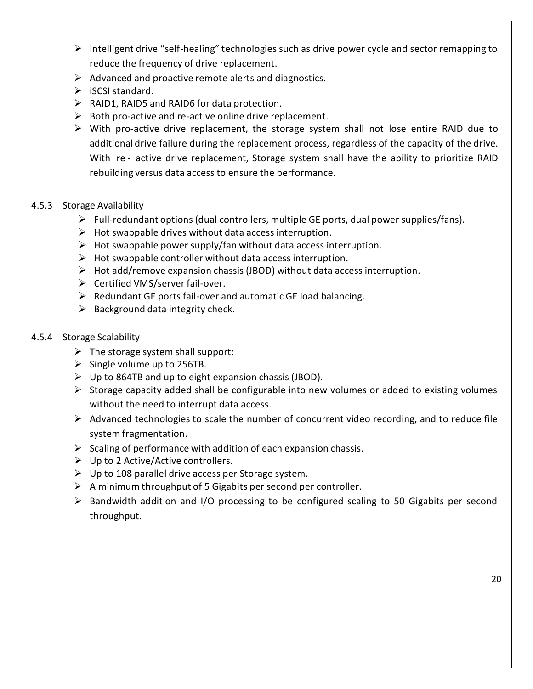- $\triangleright$  Intelligent drive "self-healing" technologies such as drive power cycle and sector remapping to reduce the frequency of drive replacement.
- $\triangleright$  Advanced and proactive remote alerts and diagnostics.
- $\triangleright$  iSCSI standard.
- $\triangleright$  RAID1, RAID5 and RAID6 for data protection.
- $\triangleright$  Both pro-active and re-active online drive replacement.
- $\triangleright$  With pro-active drive replacement, the storage system shall not lose entire RAID due to additional drive failure during the replacement process, regardless of the capacity of the drive. With re - active drive replacement, Storage system shall have the ability to prioritize RAID rebuilding versus data access to ensure the performance.
- 4.5.3 Storage Availability
	- $\triangleright$  Full-redundant options (dual controllers, multiple GE ports, dual power supplies/fans).
	- $\triangleright$  Hot swappable drives without data access interruption.
	- $\triangleright$  Hot swappable power supply/fan without data access interruption.
	- $\triangleright$  Hot swappable controller without data access interruption.
	- $\triangleright$  Hot add/remove expansion chassis (JBOD) without data access interruption.
	- $\triangleright$  Certified VMS/server fail-over.
	- $\triangleright$  Redundant GE ports fail-over and automatic GE load balancing.
	- $\triangleright$  Background data integrity check.
- 4.5.4 Storage Scalability
	- $\triangleright$  The storage system shall support:
	- $\triangleright$  Single volume up to 256TB.
	- $\triangleright$  Up to 864TB and up to eight expansion chassis (JBOD).
	- $\triangleright$  Storage capacity added shall be configurable into new volumes or added to existing volumes without the need to interrupt data access.
	- $\triangleright$  Advanced technologies to scale the number of concurrent video recording, and to reduce file system fragmentation.
	- $\triangleright$  Scaling of performance with addition of each expansion chassis.
	- $\triangleright$  Up to 2 Active/Active controllers.
	- $\triangleright$  Up to 108 parallel drive access per Storage system.
	- $\triangleright$  A minimum throughput of 5 Gigabits per second per controller.
	- $\triangleright$  Bandwidth addition and I/O processing to be configured scaling to 50 Gigabits per second throughput.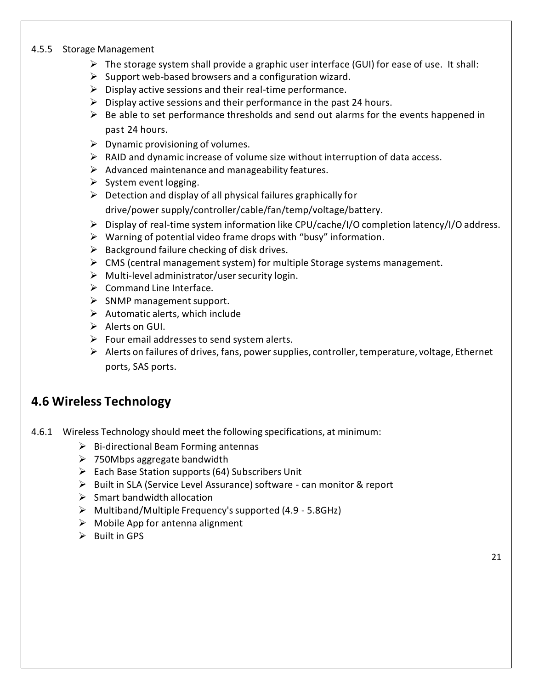#### 4.5.5 Storage Management

- $\triangleright$  The storage system shall provide a graphic user interface (GUI) for ease of use. It shall:
- $\triangleright$  Support web-based browsers and a configuration wizard.
- $\triangleright$  Display active sessions and their real-time performance.
- $\triangleright$  Display active sessions and their performance in the past 24 hours.
- $\triangleright$  Be able to set performance thresholds and send out alarms for the events happened in past 24 hours.
- $\triangleright$  Dynamic provisioning of volumes.
- $\triangleright$  RAID and dynamic increase of volume size without interruption of data access.
- $\triangleright$  Advanced maintenance and manageability features.
- $\triangleright$  System event logging.
- $\triangleright$  Detection and display of all physical failures graphically for

drive/power supply/controller/cable/fan/temp/voltage/battery.

- Display of real-time system information like CPU/cache/I/O completion latency/I/O address.
- $\triangleright$  Warning of potential video frame drops with "busy" information.
- $\triangleright$  Background failure checking of disk drives.
- $\triangleright$  CMS (central management system) for multiple Storage systems management.
- $\triangleright$  Multi-level administrator/user security login.
- $\triangleright$  Command Line Interface.
- $\triangleright$  SNMP management support.
- $\triangleright$  Automatic alerts, which include
- $\triangleright$  Alerts on GUI.
- $\triangleright$  Four email addresses to send system alerts.
- $\triangleright$  Alerts on failures of drives, fans, power supplies, controller, temperature, voltage, Ethernet ports, SAS ports.

### **4.6 Wireless Technology**

- 4.6.1 Wireless Technology should meet the following specifications, at minimum:
	- $\triangleright$  Bi-directional Beam Forming antennas
	- > 750Mbps aggregate bandwidth
	- $\triangleright$  Each Base Station supports (64) Subscribers Unit
	- Built in SLA (Service Level Assurance) software can monitor & report
	- $\triangleright$  Smart bandwidth allocation
	- $\triangleright$  Multiband/Multiple Frequency's supported (4.9 5.8GHz)
	- $\triangleright$  Mobile App for antenna alignment
	- $\triangleright$  Built in GPS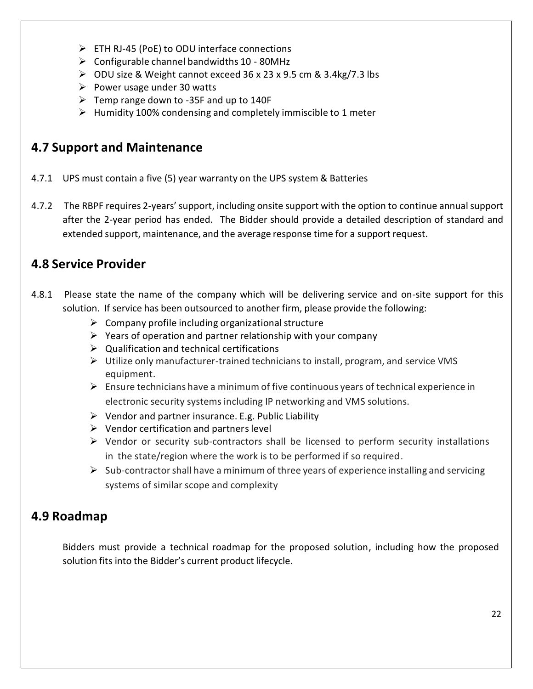- ETH RJ-45 (PoE) to ODU interface connections
- $\triangleright$  Configurable channel bandwidths 10 80MHz
- ODU size & Weight cannot exceed 36 x 23 x 9.5 cm & 3.4kg/7.3 lbs
- $\triangleright$  Power usage under 30 watts
- $\triangleright$  Temp range down to -35F and up to 140F
- $\triangleright$  Humidity 100% condensing and completely immiscible to 1 meter

### **4.7 Support and Maintenance**

- 4.7.1 UPS must contain a five (5) year warranty on the UPS system & Batteries
- 4.7.2 The RBPF requires 2-years'support, including onsite support with the option to continue annualsupport after the 2-year period has ended. The Bidder should provide a detailed description of standard and extended support, maintenance, and the average response time for a support request.

## **4.8 Service Provider**

- 4.8.1 Please state the name of the company which will be delivering service and on-site support for this solution. If service has been outsourced to another firm, please provide the following:
	- $\triangleright$  Company profile including organizational structure
	- $\triangleright$  Years of operation and partner relationship with your company
	- $\triangleright$  Qualification and technical certifications
	- $\triangleright$  Utilize only manufacturer-trained technicians to install, program, and service VMS equipment.
	- $\triangleright$  Ensure technicians have a minimum of five continuous years of technical experience in electronic security systems including IP networking and VMS solutions.
	- $\triangleright$  Vendor and partner insurance. E.g. Public Liability
	- $\triangleright$  Vendor certification and partners level
	- $\triangleright$  Vendor or security sub-contractors shall be licensed to perform security installations in the state/region where the work is to be performed if so required.
	- $\triangleright$  Sub-contractor shall have a minimum of three years of experience installing and servicing systems of similar scope and complexity

## **4.9 Roadmap**

Bidders must provide a technical roadmap for the proposed solution, including how the proposed solution fits into the Bidder's current product lifecycle.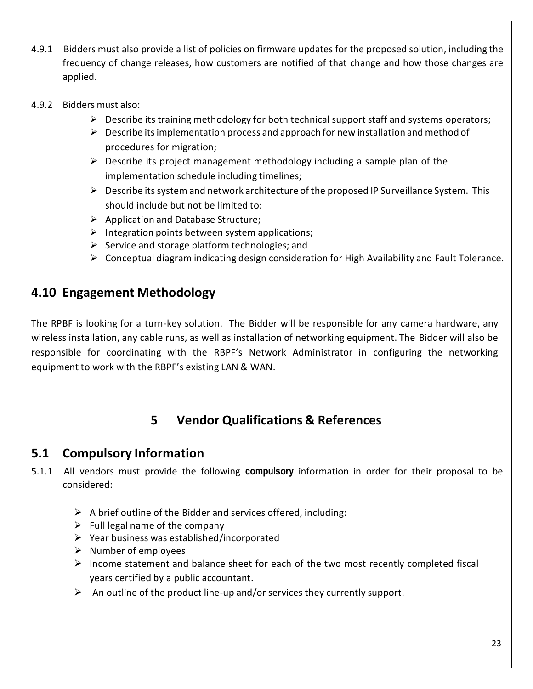- 4.9.1 Bidders must also provide a list of policies on firmware updates for the proposed solution, including the frequency of change releases, how customers are notified of that change and how those changes are applied.
- 4.9.2 Bidders must also:
	- $\triangleright$  Describe its training methodology for both technical support staff and systems operators;
	- $\triangleright$  Describe its implementation process and approach for new installation and method of procedures for migration;
	- $\triangleright$  Describe its project management methodology including a sample plan of the implementation schedule including timelines;
	- $\triangleright$  Describe its system and network architecture of the proposed IP Surveillance System. This should include but not be limited to:
	- $\triangleright$  Application and Database Structure;
	- $\triangleright$  Integration points between system applications;
	- $\triangleright$  Service and storage platform technologies; and
	- $\triangleright$  Conceptual diagram indicating design consideration for High Availability and Fault Tolerance.

### **4.10 Engagement Methodology**

The RPBF is looking for a turn-key solution. The Bidder will be responsible for any camera hardware, any wireless installation, any cable runs, as well as installation of networking equipment. The Bidder will also be responsible for coordinating with the RBPF's Network Administrator in configuring the networking equipment to work with the RBPF's existing LAN & WAN.

# **5 Vendor Qualifications & References**

### **5.1 Compulsory Information**

- 5.1.1 All vendors must provide the following **compulsory** information in order for their proposal to be considered:
	- $\triangleright$  A brief outline of the Bidder and services offered, including:
	- $\triangleright$  Full legal name of the company
	- $\triangleright$  Year business was established/incorporated
	- $\triangleright$  Number of employees
	- $\triangleright$  Income statement and balance sheet for each of the two most recently completed fiscal years certified by a public accountant.
	- $\triangleright$  An outline of the product line-up and/or services they currently support.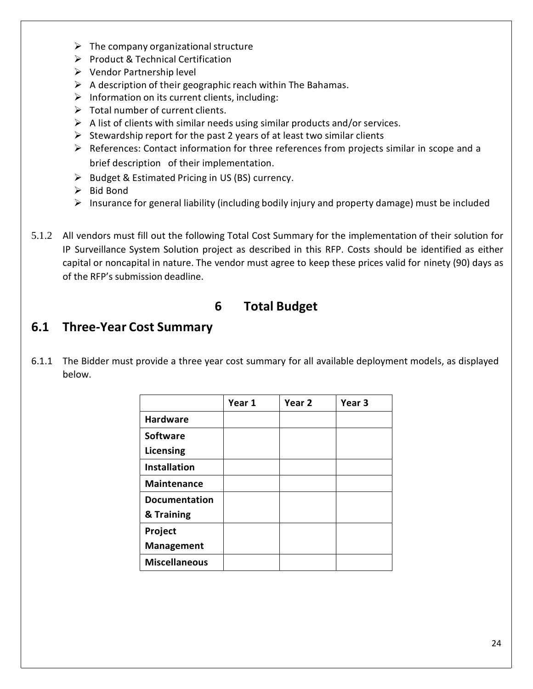- $\triangleright$  The company organizational structure
- $\triangleright$  Product & Technical Certification
- Vendor Partnership level
- $\triangleright$  A description of their geographic reach within The Bahamas.
- $\triangleright$  Information on its current clients, including:
- $\triangleright$  Total number of current clients.
- $\triangleright$  A list of clients with similar needs using similar products and/or services.
- $\triangleright$  Stewardship report for the past 2 years of at least two similar clients
- $\triangleright$  References: Contact information for three references from projects similar in scope and a brief description of their implementation.
- $\triangleright$  Budget & Estimated Pricing in US (BS) currency.
- $\triangleright$  Bid Bond
- $\triangleright$  Insurance for general liability (including bodily injury and property damage) must be included
- 5.1.2 All vendors must fill out the following Total Cost Summary for the implementation of their solution for IP Surveillance System Solution project as described in this RFP. Costs should be identified as either capital or noncapital in nature. The vendor must agree to keep these prices valid for ninety (90) days as of the RFP's submission deadline.

### **6 Total Budget**

### **6.1 Three-Year Cost Summary**

6.1.1 The Bidder must provide a three year cost summary for all available deployment models, as displayed below.

|                      | Year 1 | Year 2 | Year <sub>3</sub> |
|----------------------|--------|--------|-------------------|
| <b>Hardware</b>      |        |        |                   |
| <b>Software</b>      |        |        |                   |
| Licensing            |        |        |                   |
| <b>Installation</b>  |        |        |                   |
| <b>Maintenance</b>   |        |        |                   |
| <b>Documentation</b> |        |        |                   |
| & Training           |        |        |                   |
| Project              |        |        |                   |
| Management           |        |        |                   |
| <b>Miscellaneous</b> |        |        |                   |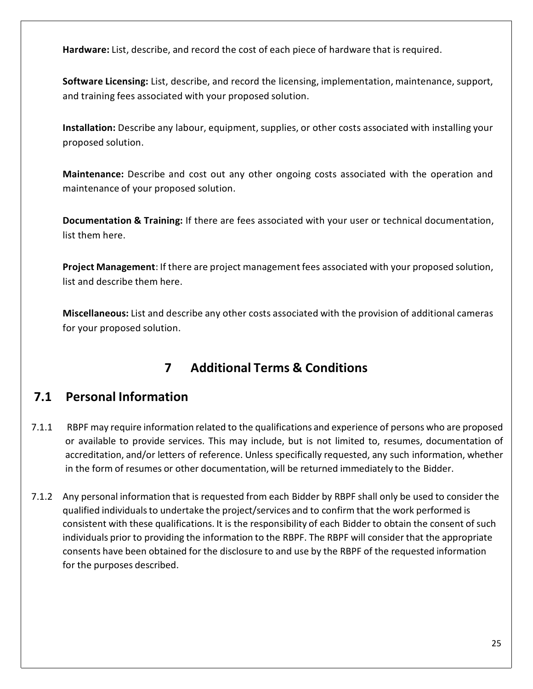**Hardware:** List, describe, and record the cost of each piece of hardware that is required.

**Software Licensing:** List, describe, and record the licensing, implementation, maintenance, support, and training fees associated with your proposed solution.

**Installation:** Describe any labour, equipment, supplies, or other costs associated with installing your proposed solution.

**Maintenance:** Describe and cost out any other ongoing costs associated with the operation and maintenance of your proposed solution.

**Documentation & Training:** If there are fees associated with your user or technical documentation, list them here.

**Project Management**: If there are project management fees associated with your proposed solution, list and describe them here.

**Miscellaneous:** List and describe any other costs associated with the provision of additional cameras for your proposed solution.

# **7 Additional Terms & Conditions**

## **7.1 Personal Information**

- 7.1.1 RBPF may require information related to the qualifications and experience of persons who are proposed or available to provide services. This may include, but is not limited to, resumes, documentation of accreditation, and/or letters of reference. Unless specifically requested, any such information, whether in the form of resumes or other documentation, will be returned immediately to the Bidder.
- 7.1.2 Any personal information that is requested from each Bidder by RBPF shall only be used to consider the qualified individualsto undertake the project/services and to confirm that the work performed is consistent with these qualifications. It is the responsibility of each Bidder to obtain the consent of such individuals prior to providing the information to the RBPF. The RBPF will consider that the appropriate consents have been obtained for the disclosure to and use by the RBPF of the requested information for the purposes described.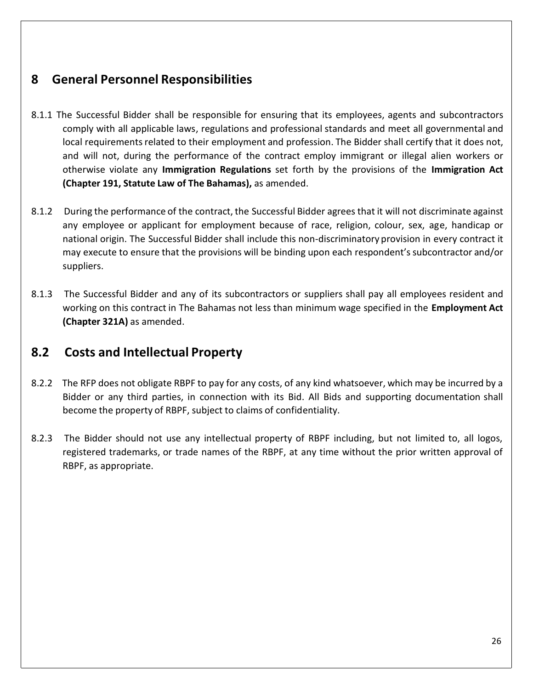### **8 General Personnel Responsibilities**

- 8.1.1 The Successful Bidder shall be responsible for ensuring that its employees, agents and subcontractors comply with all applicable laws, regulations and professional standards and meet all governmental and local requirements related to their employment and profession. The Bidder shall certify that it does not, and will not, during the performance of the contract employ immigrant or illegal alien workers or otherwise violate any **Immigration Regulations** set forth by the provisions of the **Immigration Act (Chapter 191, Statute Law of The Bahamas),** as amended.
- 8.1.2 During the performance of the contract, the Successful Bidder agrees that it will not discriminate against any employee or applicant for employment because of race, religion, colour, sex, age, handicap or national origin. The Successful Bidder shall include this non-discriminatory provision in every contract it may execute to ensure that the provisions will be binding upon each respondent'ssubcontractor and/or suppliers.
- 8.1.3 The Successful Bidder and any of its subcontractors or suppliers shall pay all employees resident and working on this contract in The Bahamas not less than minimum wage specified in the **Employment Act (Chapter 321A)** as amended.

### **8.2 Costs and Intellectual Property**

- 8.2.2 The RFP does not obligate RBPF to pay for any costs, of any kind whatsoever, which may be incurred by a Bidder or any third parties, in connection with its Bid. All Bids and supporting documentation shall become the property of RBPF, subject to claims of confidentiality.
- 8.2.3 The Bidder should not use any intellectual property of RBPF including, but not limited to, all logos, registered trademarks, or trade names of the RBPF, at any time without the prior written approval of RBPF, as appropriate.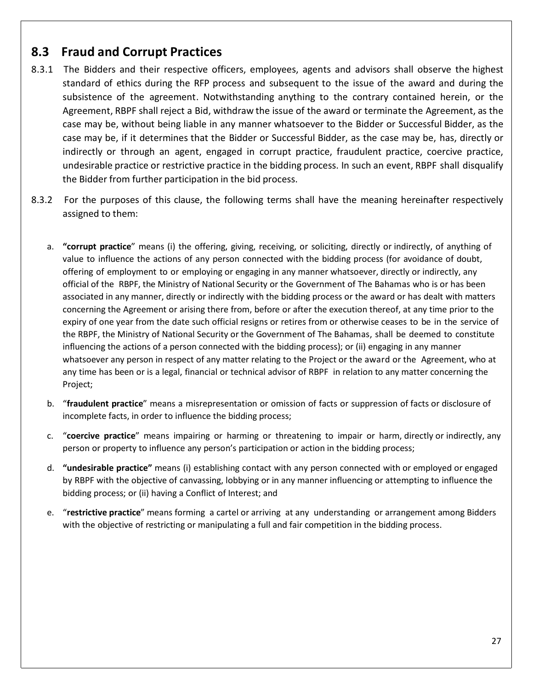### **8.3 Fraud and Corrupt Practices**

- 8.3.1 The Bidders and their respective officers, employees, agents and advisors shall observe the highest standard of ethics during the RFP process and subsequent to the issue of the award and during the subsistence of the agreement. Notwithstanding anything to the contrary contained herein, or the Agreement, RBPF shall reject a Bid, withdraw the issue of the award or terminate the Agreement, as the case may be, without being liable in any manner whatsoever to the Bidder or Successful Bidder, as the case may be, if it determines that the Bidder or Successful Bidder, as the case may be, has, directly or indirectly or through an agent, engaged in corrupt practice, fraudulent practice, coercive practice, undesirable practice or restrictive practice in the bidding process. In such an event, RBPF shall disqualify the Bidder from further participation in the bid process.
- 8.3.2 For the purposes of this clause, the following terms shall have the meaning hereinafter respectively assigned to them:
	- a. **"corrupt practice**" means (i) the offering, giving, receiving, or soliciting, directly or indirectly, of anything of value to influence the actions of any person connected with the bidding process (for avoidance of doubt, offering of employment to or employing or engaging in any manner whatsoever, directly or indirectly, any official of the RBPF, the Ministry of National Security or the Government of The Bahamas who is or has been associated in any manner, directly or indirectly with the bidding process or the award or has dealt with matters concerning the Agreement or arising there from, before or after the execution thereof, at any time prior to the expiry of one year from the date such official resigns or retires from or otherwise ceases to be in the service of the RBPF, the Ministry of National Security or the Government of The Bahamas, shall be deemed to constitute influencing the actions of a person connected with the bidding process); or (ii) engaging in any manner whatsoever any person in respect of any matter relating to the Project or the award or the Agreement, who at any time has been or is a legal, financial or technical advisor of RBPF in relation to any matter concerning the Project;
	- b. "**fraudulent practice**" means a misrepresentation or omission of facts or suppression of facts or disclosure of incomplete facts, in order to influence the bidding process;
	- c. "**coercive practice**" means impairing or harming or threatening to impair or harm, directly or indirectly, any person or property to influence any person's participation or action in the bidding process;
	- d. **"undesirable practice"** means (i) establishing contact with any person connected with or employed or engaged by RBPF with the objective of canvassing, lobbying or in any manner influencing or attempting to influence the bidding process; or (ii) having a Conflict of Interest; and
	- e. "**restrictive practice**" means forming a cartel or arriving at any understanding or arrangement among Bidders with the objective of restricting or manipulating a full and fair competition in the bidding process.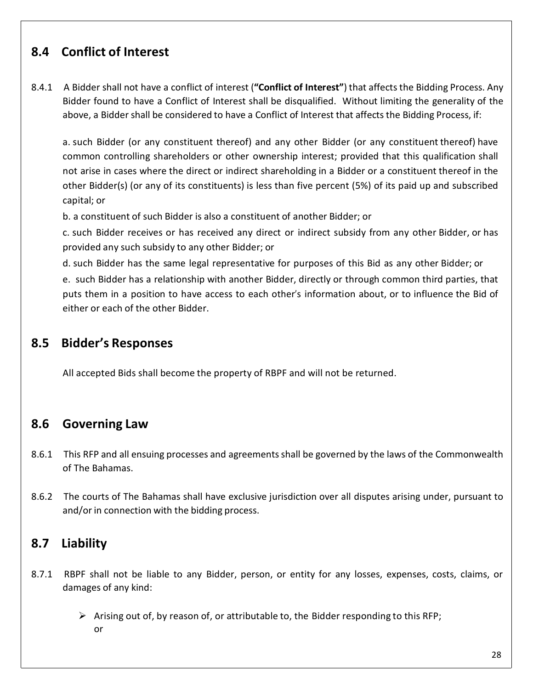## **8.4 Conflict of Interest**

8.4.1 A Bidder shall not have a conflict of interest (**"Conflict of Interest"**) that affects the Bidding Process. Any Bidder found to have a Conflict of Interest shall be disqualified. Without limiting the generality of the above, a Bidder shall be considered to have a Conflict of Interest that affects the Bidding Process, if:

a. such Bidder (or any constituent thereof) and any other Bidder (or any constituent thereof) have common controlling shareholders or other ownership interest; provided that this qualification shall not arise in cases where the direct or indirect shareholding in a Bidder or a constituent thereof in the other Bidder(s) (or any of its constituents) is less than five percent (5%) of its paid up and subscribed capital; or

b. a constituent of such Bidder is also a constituent of another Bidder; or

c. such Bidder receives or has received any direct or indirect subsidy from any other Bidder, or has provided any such subsidy to any other Bidder; or

d. such Bidder has the same legal representative for purposes of this Bid as any other Bidder; or e. such Bidder has a relationship with another Bidder, directly or through common third parties, that puts them in a position to have access to each other's information about, or to influence the Bid of either or each of the other Bidder.

### **8.5 Bidder's Responses**

All accepted Bids shall become the property of RBPF and will not be returned.

### **8.6 Governing Law**

- 8.6.1 This RFP and all ensuing processes and agreements shall be governed by the laws of the Commonwealth of The Bahamas.
- 8.6.2 The courts of The Bahamas shall have exclusive jurisdiction over all disputes arising under, pursuant to and/or in connection with the bidding process.

### **8.7 Liability**

- 8.7.1 RBPF shall not be liable to any Bidder, person, or entity for any losses, expenses, costs, claims, or damages of any kind:
	- $\triangleright$  Arising out of, by reason of, or attributable to, the Bidder responding to this RFP; or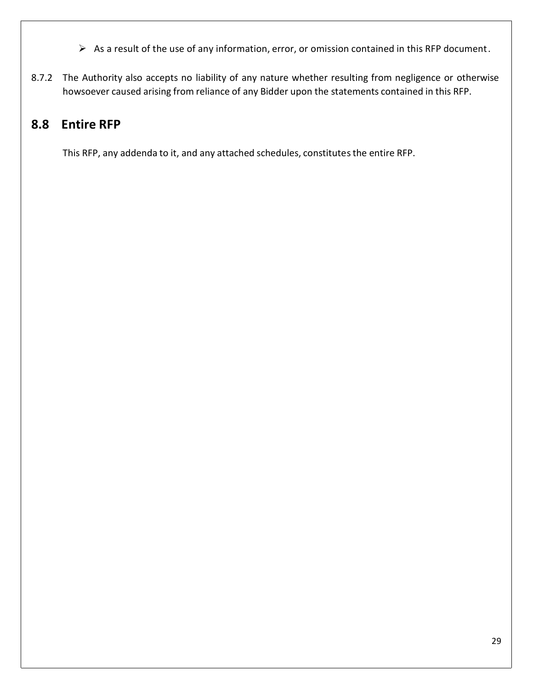- $\triangleright$  As a result of the use of any information, error, or omission contained in this RFP document.
- 8.7.2 The Authority also accepts no liability of any nature whether resulting from negligence or otherwise howsoever caused arising from reliance of any Bidder upon the statements contained in this RFP.

# **8.8 Entire RFP**

This RFP, any addenda to it, and any attached schedules, constitutes the entire RFP.